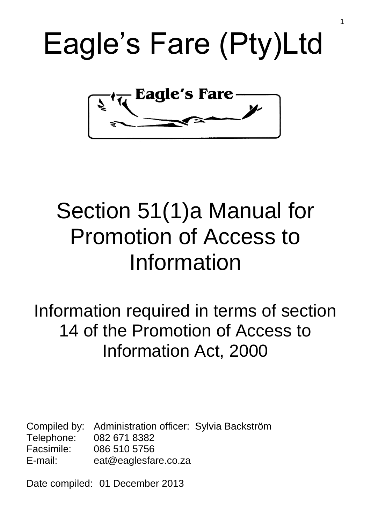



# Section 51(1)a Manual for Promotion of Access to Information

## Information required in terms of section 14 of the Promotion of Access to Information Act, 2000

Compiled by: Administration officer: Sylvia Backström Telephone: 082 671 8382 Facsimile: 086 510 5756 E-mail: eat@eaglesfare.co.za

Date compiled: 01 December 2013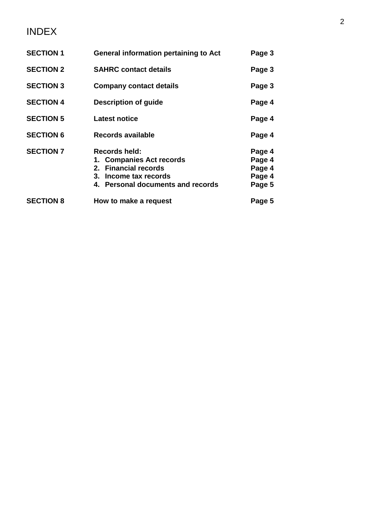### INDEX

| <b>SECTION 1</b> | <b>General information pertaining to Act</b>                                                                                           | Page 3                                         |
|------------------|----------------------------------------------------------------------------------------------------------------------------------------|------------------------------------------------|
| <b>SECTION 2</b> | <b>SAHRC contact details</b>                                                                                                           | Page 3                                         |
| <b>SECTION 3</b> | <b>Company contact details</b>                                                                                                         | Page 3                                         |
| <b>SECTION 4</b> | <b>Description of guide</b>                                                                                                            | Page 4                                         |
| <b>SECTION 5</b> | <b>Latest notice</b>                                                                                                                   | Page 4                                         |
| <b>SECTION 6</b> | Records available                                                                                                                      | Page 4                                         |
| <b>SECTION 7</b> | <b>Records held:</b><br>1. Companies Act records<br>2. Financial records<br>3. Income tax records<br>4. Personal documents and records | Page 4<br>Page 4<br>Page 4<br>Page 4<br>Page 5 |
| <b>SECTION 8</b> | How to make a request                                                                                                                  | Page 5                                         |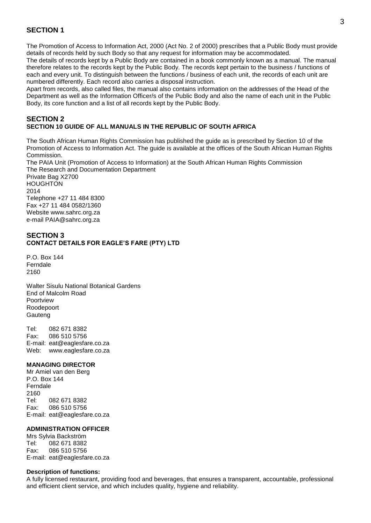#### **SECTION 1**

The Promotion of Access to Information Act, 2000 (Act No. 2 of 2000) prescribes that a Public Body must provide details of records held by such Body so that any request for information may be accommodated.

The details of records kept by a Public Body are contained in a book commonly known as a manual. The manual therefore relates to the records kept by the Public Body. The records kept pertain to the business / functions of each and every unit. To distinguish between the functions / business of each unit, the records of each unit are numbered differently. Each record also carries a disposal instruction.

Apart from records, also called files, the manual also contains information on the addresses of the Head of the Department as well as the Information Officer/s of the Public Body and also the name of each unit in the Public Body, its core function and a list of all records kept by the Public Body.

#### **SECTION 2 SECTION 10 GUIDE OF ALL MANUALS IN THE REPUBLIC OF SOUTH AFRICA**

The South African Human Rights Commission has published the guide as is prescribed by Section 10 of the Promotion of Access to Information Act. The guide is available at the offices of the South African Human Rights **Commission** 

The PAIA Unit (Promotion of Access to Information) at the South African Human Rights Commission The Research and Documentation Department Private Bag X2700 **HOUGHTON** 2014 Telephone +27 11 484 8300

Fax +27 11 484 0582/1360 Website www.sahrc.org.za e-mail PAIA@sahrc.org.za

#### **SECTION 3 CONTACT DETAILS FOR EAGLE'S FARE (PTY) LTD**

P.O. Box 144 Ferndale 2160

Walter Sisulu National Botanical Gardens End of Malcolm Road Poortview Roodepoort **Gauteng** 

Tel: 082 671 8382 Fax: 086 510 5756 E-mail: eat@eaglesfare.co.za Web: www.eaglesfare.co.za

#### **MANAGING DIRECTOR**

Mr Amiel van den Berg P.O. Box 144 Ferndale 2160 Tel: 082 671 8382 Fax: 086 510 5756 E-mail: eat@eaglesfare.co.za

#### **ADMINISTRATION OFFICER**

Mrs Sylvia Backström Tel: 082 671 8382 Fax: 086 510 5756 E-mail: eat@eaglesfare.co.za

#### **Description of functions:**

A fully licensed restaurant, providing food and beverages, that ensures a transparent, accountable, professional and efficient client service, and which includes quality, hygiene and reliability.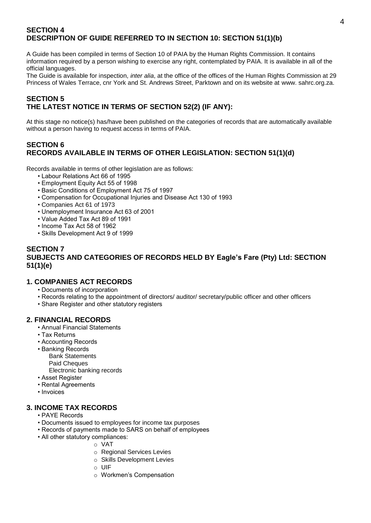#### **SECTION 4 DESCRIPTION OF GUIDE REFERRED TO IN SECTION 10: SECTION 51(1)(b)**

A Guide has been compiled in terms of Section 10 of PAIA by the Human Rights Commission. It contains information required by a person wishing to exercise any right, contemplated by PAIA. It is available in all of the official languages.

The Guide is available for inspection, *inter alia*, at the office of the offices of the Human Rights Commission at 29 Princess of Wales Terrace, cnr York and St. Andrews Street, Parktown and on its website at www. sahrc.org.za.

#### **SECTION 5 THE LATEST NOTICE IN TERMS OF SECTION 52(2) (IF ANY):**

At this stage no notice(s) has/have been published on the categories of records that are automatically available without a person having to request access in terms of PAIA.

#### **SECTION 6 RECORDS AVAILABLE IN TERMS OF OTHER LEGISLATION: SECTION 51(1)(d)**

Records available in terms of other legislation are as follows:

- Labour Relations Act 66 of 1995
- Employment Equity Act 55 of 1998
- Basic Conditions of Employment Act 75 of 1997
- Compensation for Occupational Injuries and Disease Act 130 of 1993
- Companies Act 61 of 1973
- Unemployment Insurance Act 63 of 2001
- Value Added Tax Act 89 of 1991
- Income Tax Act 58 of 1962
- Skills Development Act 9 of 1999

#### **SECTION 7 SUBJECTS AND CATEGORIES OF RECORDS HELD BY Eagle's Fare (Pty) Ltd: SECTION 51(1)(e)**

#### **1. COMPANIES ACT RECORDS**

- Documents of incorporation
- Records relating to the appointment of directors/ auditor/ secretary/public officer and other officers
- Share Register and other statutory registers

#### **2. FINANCIAL RECORDS**

- Annual Financial Statements
- Tax Returns
- Accounting Records
- Banking Records
	- Bank Statements Paid Cheques
	- Electronic banking records
- Asset Register
- Rental Agreements
- Invoices

#### **3. INCOME TAX RECORDS**

- PAYE Records
- Documents issued to employees for income tax purposes
- Records of payments made to SARS on behalf of employees
- All other statutory compliances:
	- o VAT
		- o Regional Services Levies
		- o Skills Development Levies
		- $\circ$  UIF
		- o Workmen's Compensation